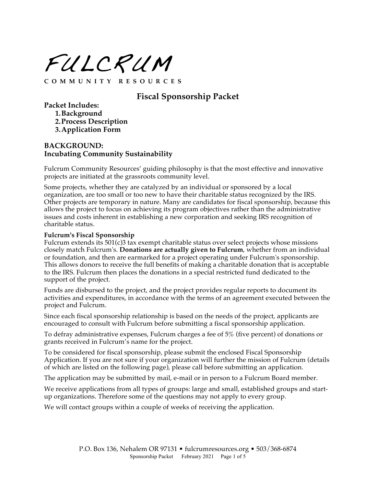FULCRUM

**COMMUNITY RESOURCES**

## **Fiscal Sponsorship Packet**

**Packet Includes:**

**1.Background**

**2.Process Description**

**3.Application Form**

### **BACKGROUND: Incubating Community Sustainability**

Fulcrum Community Resources' guiding philosophy is that the most effective and innovative projects are initiated at the grassroots community level.

Some projects, whether they are catalyzed by an individual or sponsored by a local organization, are too small or too new to have their charitable status recognized by the IRS. Other projects are temporary in nature. Many are candidates for fiscal sponsorship, because this allows the project to focus on achieving its program objectives rather than the administrative issues and costs inherent in establishing a new corporation and seeking IRS recognition of charitable status.

#### **Fulcrum's Fiscal Sponsorship**

Fulcrum extends its 501(c)3 tax exempt charitable status over select projects whose missions closely match Fulcrum's. **Donations are actually given to Fulcrum**, whether from an individual or foundation, and then are earmarked for a project operating under Fulcrum's sponsorship. This allows donors to receive the full benefits of making a charitable donation that is acceptable to the IRS. Fulcrum then places the donations in a special restricted fund dedicated to the support of the project.

Funds are disbursed to the project, and the project provides regular reports to document its activities and expenditures, in accordance with the terms of an agreement executed between the project and Fulcrum.

Since each fiscal sponsorship relationship is based on the needs of the project, applicants are encouraged to consult with Fulcrum before submitting a fiscal sponsorship application.

To defray administrative expenses, Fulcrum charges a fee of 5% (five percent) of donations or grants received in Fulcrum's name for the project.

To be considered for fiscal sponsorship, please submit the enclosed Fiscal Sponsorship Application. If you are not sure if your organization will further the mission of Fulcrum (details of which are listed on the following page), please call before submitting an application.

The application may be submitted by mail, e-mail or in person to a Fulcrum Board member.

We receive applications from all types of groups: large and small, established groups and startup organizations. Therefore some of the questions may not apply to every group.

We will contact groups within a couple of weeks of receiving the application.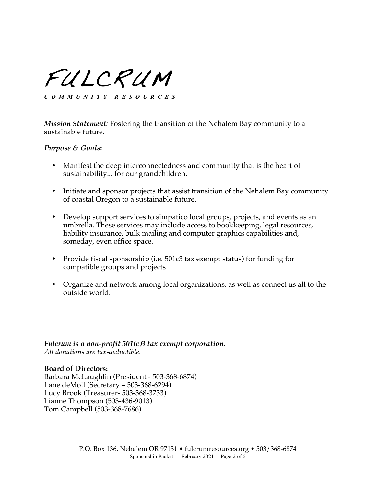FULCRUM

*COMMUNITY RESOURCES*

*Mission Statement:* Fostering the transition of the Nehalem Bay community to a sustainable future.

#### *Purpose & Goals***:**

- Manifest the deep interconnectedness and community that is the heart of sustainability... for our grandchildren.
- Initiate and sponsor projects that assist transition of the Nehalem Bay community of coastal Oregon to a sustainable future.
- Develop support services to simpatico local groups, projects, and events as an umbrella. These services may include access to bookkeeping, legal resources, liability insurance, bulk mailing and computer graphics capabilities and, someday, even office space.
- Provide fiscal sponsorship (i.e. 501c3 tax exempt status) for funding for compatible groups and projects
- Organize and network among local organizations, as well as connect us all to the outside world.

*Fulcrum is a non-profit 501(c)3 tax exempt corporation. All donations are tax-deductible.*

### **Board of Directors:**

Barbara McLaughlin (President - 503-368-6874) Lane deMoll (Secretary – 503-368-6294) Lucy Brook (Treasurer- 503-368-3733) Lianne Thompson (503-436-9013) Tom Campbell (503-368-7686)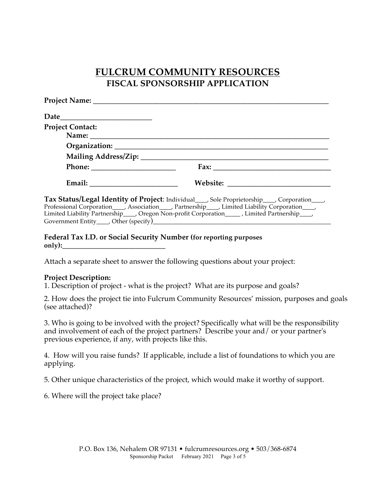# **FULCRUM COMMUNITY RESOURCES FISCAL SPONSORSHIP APPLICATION**

| <b>Project Contact:</b> |  |
|-------------------------|--|
|                         |  |
|                         |  |
|                         |  |
|                         |  |
|                         |  |

**Tax Status/Legal Identity of Project**: Individual\_\_\_\_, Sole Proprietorship\_\_\_\_, Corporation\_\_\_\_, Professional Corporation\_\_\_, Association\_\_\_, Partnership\_\_\_, Limited Liability Corporation\_\_\_, Limited Liability Partnership\_\_\_, Oregon Non-profit Corporation\_\_\_\_\_, Limited Partnership\_\_\_\_, Government Entity\_\_\_\_\_, Other (specify)\_

**Federal Tax I.D. or Social Security Number (for reporting purposes**  only):

Attach a separate sheet to answer the following questions about your project:

### **Project Description:**

1. Description of project - what is the project? What are its purpose and goals?

2. How does the project tie into Fulcrum Community Resources' mission, purposes and goals (see attached)?

3. Who is going to be involved with the project? Specifically what will be the responsibility and involvement of each of the project partners? Describe your and/ or your partner's previous experience, if any, with projects like this.

4. How will you raise funds? If applicable, include a list of foundations to which you are applying.

5. Other unique characteristics of the project, which would make it worthy of support.

6. Where will the project take place?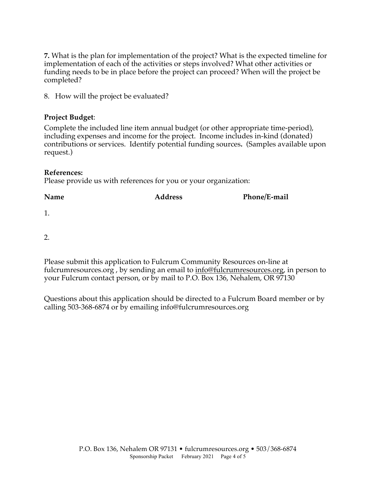**7.** What is the plan for implementation of the project? What is the expected timeline for implementation of each of the activities or steps involved? What other activities or funding needs to be in place before the project can proceed? When will the project be completed?

8. How will the project be evaluated?

### **Project Budget**:

Complete the included line item annual budget (or other appropriate time-period), including expenses and income for the project. Income includes in-kind (donated) contributions or services. Identify potential funding sources**.** (Samples available upon request.)

### **References:**

Please provide us with references for you or your organization:

| Name | <b>Address</b> | Phone/E-mail |
|------|----------------|--------------|
|      |                |              |

1.

2.

Please submit this application to Fulcrum Community Resources on-line at fulcrumresources.org, by sending an email to info@fulcrumresources.org, in person to your Fulcrum contact person, or by mail to P.O. Box 136, Nehalem, OR 97130

Questions about this application should be directed to a Fulcrum Board member or by calling 503-368-6874 or by emailing info@fulcrumresources.org